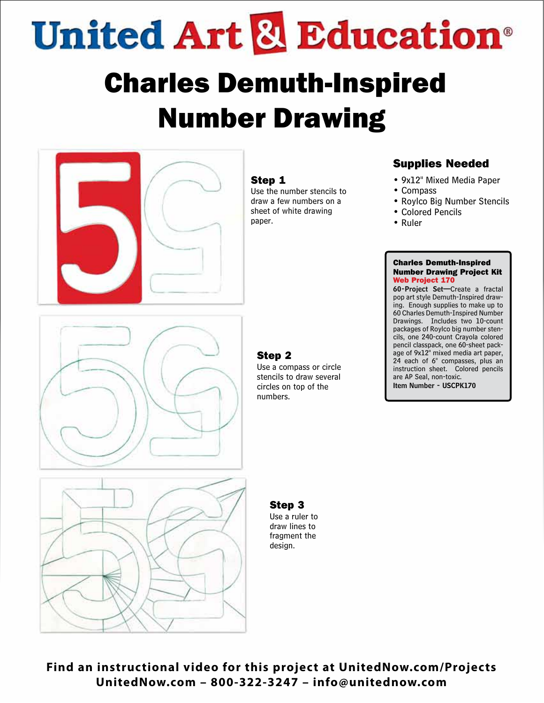**United Art & Education**®

# Charles Demuth-Inspired Number Drawing



#### Step 1

Use the number stencils to draw a few numbers on a sheet of white drawing paper.

### Supplies Needed

- 9x12" Mixed Media Paper
- Compass
- Roylco Big Number Stencils
- Colored Pencils
- Ruler

#### Charles Demuth-Inspired Number Drawing Project Kit Web Project 170

60-Project Set—Create a fractal pop art style Demuth-Inspired drawing. Enough supplies to make up to 60 Charles Demuth-Inspired Number Drawings. Includes two 10-count packages of Roylco big number stencils, one 240-count Crayola colored pencil classpack, one 60-sheet package of 9x12" mixed media art paper, 24 each of 6" compasses, plus an instruction sheet. Colored pencils are AP Seal, non-toxic. Item Number - USCPK170

#### Step 2

Use a compass or circle stencils to draw several circles on top of the numbers.



## Step 3

Use a ruler to draw lines to fragment the design.

**Find an instructional video for this project at UnitedNow.com/Projects UnitedNow.com – 800-322-3247 – info@unitednow.com**